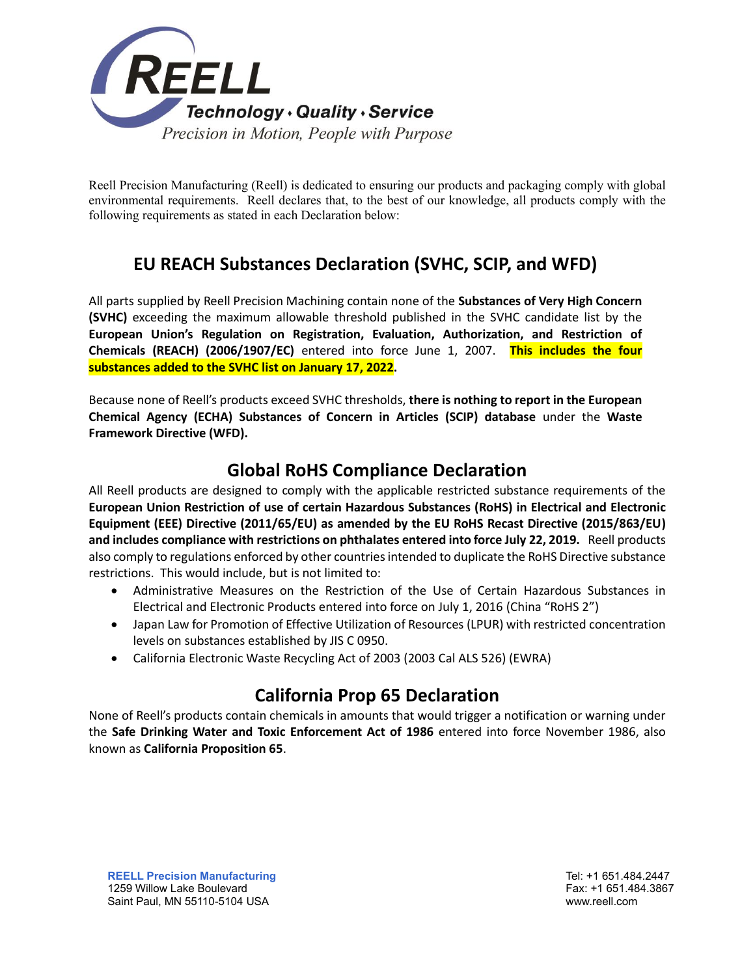

Reell Precision Manufacturing (Reell) is dedicated to ensuring our products and packaging comply with global environmental requirements. Reell declares that, to the best of our knowledge, all products comply with the following requirements as stated in each Declaration below:

# **EU REACH Substances Declaration (SVHC, SCIP, and WFD)**

All parts supplied by Reell Precision Machining contain none of the **Substances of Very High Concern (SVHC)** exceeding the maximum allowable threshold published in the SVHC candidate list by the **European Union's Regulation on Registration, Evaluation, Authorization, and Restriction of Chemicals (REACH) (2006/1907/EC)** entered into force June 1, 2007. **This includes the four substances added to the SVHC list on January 17, 2022.**

Because none of Reell's products exceed SVHC thresholds, **there is nothing to report in the European Chemical Agency (ECHA) Substances of Concern in Articles (SCIP) database** under the **Waste Framework Directive (WFD).**

#### **Global RoHS Compliance Declaration**

All Reell products are designed to comply with the applicable restricted substance requirements of the **European Union Restriction of use of certain Hazardous Substances (RoHS) in Electrical and Electronic Equipment (EEE) Directive (2011/65/EU) as amended by the EU RoHS Recast Directive (2015/863/EU) and includes compliance with restrictions on phthalates entered into force July 22, 2019.** Reell products also comply to regulations enforced by other countries intended to duplicate the RoHS Directive substance restrictions. This would include, but is not limited to:

- Administrative Measures on the Restriction of the Use of Certain Hazardous Substances in Electrical and Electronic Products entered into force on July 1, 2016 (China "RoHS 2")
- Japan Law for Promotion of Effective Utilization of Resources (LPUR) with restricted concentration levels on substances established by JIS C 0950.
- California Electronic Waste Recycling Act of 2003 (2003 Cal ALS 526) (EWRA)

### **California Prop 65 Declaration**

None of Reell's products contain chemicals in amounts that would trigger a notification or warning under the **Safe Drinking Water and Toxic Enforcement Act of 1986** entered into force November 1986, also known as **California Proposition 65**.